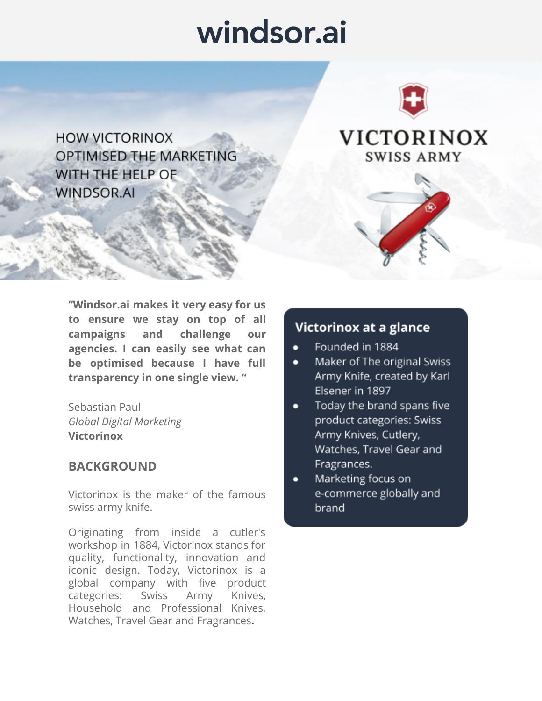# windsor.ai



**HOW VICTORINOX OPTIMISED THE MARKETING** WITH THE HELP OF **WINDSOR.AI** 

VICTORINOX **SWISS ARMY** 

**"Windsor.ai makes it very easy for us to ensure we stay on top of all campaigns and challenge our agencies. I can easily see what can be optimised because I have full transparency in one single view. "** 

Sebastian Paul *Global Digital Marketing*  **Victorinox** 

### **BACKGROUND**

Victorinox is the maker of the famous swiss army knife.

Originating from inside a cutler's workshop in 1884, Victorinox stands for quality, functionality, innovation and iconic design. Today, Victorinox is a global company with five product categories: Swiss Army Knives, Household and Professional Knives, Watches, Travel Gear and Fragrances**.**

## Victorinox at a glance

- Founded in 1884
- Maker of The original Swiss  $\bullet$ Army Knife, created by Karl Elsener in 1897
- Today the brand spans five ٠ product categories: Swiss Army Knives, Cutlery, Watches, Travel Gear and Fragrances.
- Marketing focus on e-commerce globally and brand